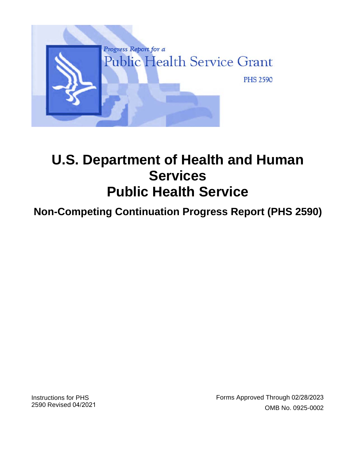

# **U.S. Department of Health and Human Services Public Health Service**

# **Non-Competing Continuation Progress Report (PHS 2590)**

Instructions for PHS 2590 Revised 04/2021 Forms Approved Through 02/28/2023 OMB No. 0925-0002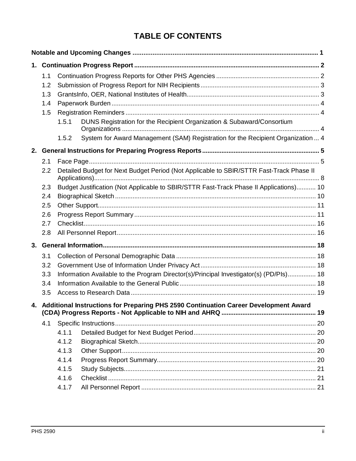# **TABLE OF CONTENTS**

| 1. |                                                                                         |                                                                                         |                                                                                        |  |  |  |  |  |
|----|-----------------------------------------------------------------------------------------|-----------------------------------------------------------------------------------------|----------------------------------------------------------------------------------------|--|--|--|--|--|
|    | 1.1                                                                                     |                                                                                         |                                                                                        |  |  |  |  |  |
|    | 1.2                                                                                     |                                                                                         |                                                                                        |  |  |  |  |  |
|    | 1.3                                                                                     |                                                                                         |                                                                                        |  |  |  |  |  |
|    | 1.4                                                                                     |                                                                                         |                                                                                        |  |  |  |  |  |
|    | 1.5                                                                                     |                                                                                         |                                                                                        |  |  |  |  |  |
|    |                                                                                         | 1.5.1                                                                                   | DUNS Registration for the Recipient Organization & Subaward/Consortium                 |  |  |  |  |  |
|    |                                                                                         | 1.5.2                                                                                   | System for Award Management (SAM) Registration for the Recipient Organization  4       |  |  |  |  |  |
|    |                                                                                         |                                                                                         |                                                                                        |  |  |  |  |  |
|    | 2.1                                                                                     |                                                                                         |                                                                                        |  |  |  |  |  |
|    | 2.2                                                                                     | Detailed Budget for Next Budget Period (Not Applicable to SBIR/STTR Fast-Track Phase II |                                                                                        |  |  |  |  |  |
|    | 2.3                                                                                     |                                                                                         | Budget Justification (Not Applicable to SBIR/STTR Fast-Track Phase II Applications) 10 |  |  |  |  |  |
|    | 2.4                                                                                     |                                                                                         |                                                                                        |  |  |  |  |  |
|    | 2.5                                                                                     |                                                                                         |                                                                                        |  |  |  |  |  |
|    | 2.6                                                                                     |                                                                                         |                                                                                        |  |  |  |  |  |
|    | 2.7                                                                                     |                                                                                         |                                                                                        |  |  |  |  |  |
|    | 2.8                                                                                     |                                                                                         |                                                                                        |  |  |  |  |  |
|    |                                                                                         |                                                                                         |                                                                                        |  |  |  |  |  |
|    | 3.1                                                                                     |                                                                                         |                                                                                        |  |  |  |  |  |
|    | 3.2                                                                                     |                                                                                         |                                                                                        |  |  |  |  |  |
|    | 3.3                                                                                     |                                                                                         | Information Available to the Program Director(s)/Principal Investigator(s) (PD/PIs) 18 |  |  |  |  |  |
|    | 3.4                                                                                     |                                                                                         |                                                                                        |  |  |  |  |  |
|    | 3.5                                                                                     |                                                                                         |                                                                                        |  |  |  |  |  |
|    | 4. Additional Instructions for Preparing PHS 2590 Continuation Career Development Award |                                                                                         |                                                                                        |  |  |  |  |  |
|    | 4.1                                                                                     |                                                                                         |                                                                                        |  |  |  |  |  |
|    |                                                                                         | 4.1.1                                                                                   |                                                                                        |  |  |  |  |  |
|    |                                                                                         | 4.1.2                                                                                   |                                                                                        |  |  |  |  |  |
|    |                                                                                         | 4.1.3                                                                                   |                                                                                        |  |  |  |  |  |
|    |                                                                                         | 4.1.4                                                                                   |                                                                                        |  |  |  |  |  |
|    |                                                                                         | 4.1.5                                                                                   |                                                                                        |  |  |  |  |  |
|    |                                                                                         | 4.1.6                                                                                   |                                                                                        |  |  |  |  |  |
|    |                                                                                         | 4.1.7                                                                                   |                                                                                        |  |  |  |  |  |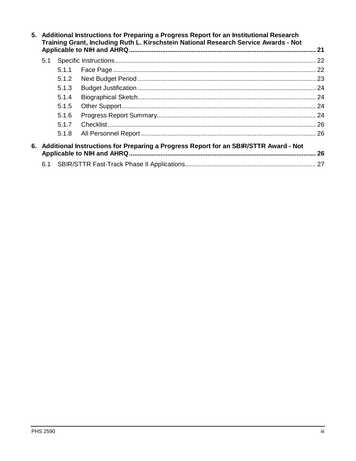| 5. Additional Instructions for Preparing a Progress Report for an Institutional Research<br>Training Grant, Including Ruth L. Kirschstein National Research Service Awards - Not |       |  |    |  |  |  |
|----------------------------------------------------------------------------------------------------------------------------------------------------------------------------------|-------|--|----|--|--|--|
|                                                                                                                                                                                  |       |  |    |  |  |  |
| 5.1                                                                                                                                                                              |       |  |    |  |  |  |
|                                                                                                                                                                                  | 5.1.1 |  |    |  |  |  |
|                                                                                                                                                                                  | 5.1.2 |  |    |  |  |  |
|                                                                                                                                                                                  | 5.1.3 |  |    |  |  |  |
|                                                                                                                                                                                  | 5.1.4 |  |    |  |  |  |
|                                                                                                                                                                                  | 5.1.5 |  |    |  |  |  |
|                                                                                                                                                                                  | 5.1.6 |  |    |  |  |  |
|                                                                                                                                                                                  | 5.1.7 |  |    |  |  |  |
|                                                                                                                                                                                  | 5.1.8 |  |    |  |  |  |
| 6. Additional Instructions for Preparing a Progress Report for an SBIR/STTR Award - Not                                                                                          |       |  |    |  |  |  |
|                                                                                                                                                                                  |       |  | 26 |  |  |  |
| 6.1                                                                                                                                                                              |       |  |    |  |  |  |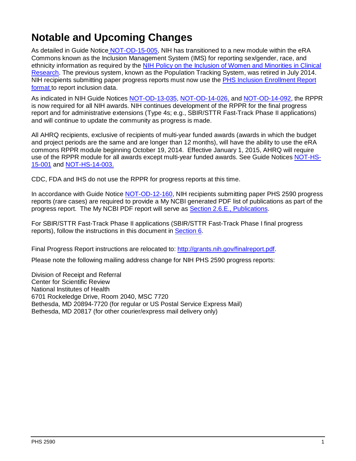# <span id="page-3-0"></span>**Notable and Upcoming Changes**

As detailed in Guide Notice [NOT-OD-15-005,](http://grants.nih.gov/grants/guide/notice-files/NOT-OD-15-005.html) NIH has transitioned to a new module within the eRA Commons known as the Inclusion Management System (IMS) for reporting sex/gender, race, and ethnicity information as required by the [NIH Policy on the Inclusion of Women and Minorities in Clinical](http://grants.nih.gov/grants/funding/women_min/women_min.htm)  [Research.](http://grants.nih.gov/grants/funding/women_min/women_min.htm) The previous system, known as the Population Tracking System, was retired in July 2014. NIH recipients submitting paper progress reports must now use the PHS [Inclusion Enrollment Report](http://grants.nih.gov/grants/forms/inclusion-enrollment-report.pdf)  [format](http://grants.nih.gov/grants/forms/inclusion-enrollment-report.pdf) to report inclusion data.

As indicated in NIH Guide Notices [NOT-OD-13-035,](http://grants.nih.gov/grants/guide/notice-files/NOT-OD-13-035.html) [NOT-OD-14-026,](http://grants.nih.gov/grants/guide/notice-files/NOT-OD-14-026.html) and [NOT-OD-14-092,](http://grants.nih.gov/grants/guide/notice-files/NOT-OD-14-092.html) the RPPR is now required for all NIH awards. NIH continues development of the RPPR for the final progress report and for administrative extensions (Type 4s; e.g., SBIR/STTR Fast-Track Phase II applications) and will continue to update the community as progress is made.

All AHRQ recipients, exclusive of recipients of multi-year funded awards (awards in which the budget and project periods are the same and are longer than 12 months), will have the ability to use the eRA commons RPPR module beginning October 19, 2014. Effective January 1, 2015, AHRQ will require use of the RPPR module for all awards except multi-year funded awards. See Guide Notices [NOT-HS-](http://grants.nih.gov/grants/guide/notice-files/not-hs-15-001.html)[15-001](http://grants.nih.gov/grants/guide/notice-files/not-hs-15-001.html) and [NOT-HS-14-003.](http://grants.nih.gov/grants/guide/notice-files/NOT-HS-14-003.html)

CDC, FDA and IHS do not use the RPPR for progress reports at this time.

In accordance with Guide Notice [NOT-OD-12-160,](http://grants.nih.gov/grants/guide/notice-files/NOT-OD-12-160.html) NIH recipients submitting paper PHS 2590 progress reports (rare cases) are required to provide a My NCBI generated PDF list of publications as part of the progress report. The My NCBI PDF report will serve as [Section 2.6.E., Publications.](#page-17-0)

For SBIR/STTR Fast-Track Phase II applications (SBIR/STTR Fast-Track Phase I final progress reports), follow the instructions in this document in [Section 6.](#page-28-2)

Final Progress Report instructions are relocated to: [http://grants.nih.gov/finalreport.pdf.](http://grants.nih.gov/finalreport.pdf)

Please note the following mailing address change for NIH PHS 2590 progress reports:

Division of Receipt and Referral Center for Scientific Review National Institutes of Health 6701 Rockeledge Drive, Room 2040, MSC 7720 Bethesda, MD 20894-7720 (for regular or US Postal Service Express Mail) Bethesda, MD 20817 (for other courier/express mail delivery only)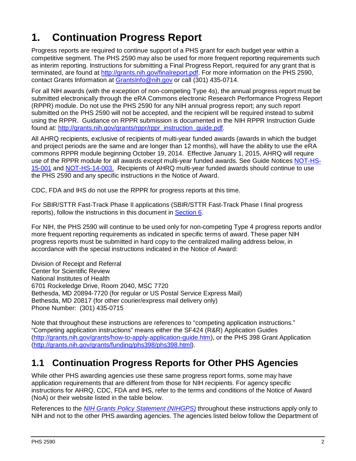# <span id="page-4-0"></span>**1. Continuation Progress Report**

Progress reports are required to continue support of a PHS grant for each budget year within a competitive segment. The PHS 2590 may also be used for more frequent reporting requirements such as interim reporting. Instructions for submitting a Final Progress Report, required for any grant that is terminated, are found at [http://grants.nih.gov/finalreport.pdf.](http://grants.nih.gov/finalreport.pdf) For more information on the PHS 2590, contact Grants Information at [GrantsInfo@nih.gov](mailto:GrantsInfo@nih.gov) or call (301) 435-0714.

For all NIH awards (with the exception of non-competing Type 4s), the annual progress report must be submitted electronically through the eRA Commons electronic Research Performance Progress Report (RPPR) module. Do not use the PHS 2590 for any NIH annual progress report; any such report submitted on the PHS 2590 will not be accepted, and the recipient will be required instead to submit using the RPPR. Guidance on RPPR submission is documented in the NIH RPPR Instruction Guide found at: [http://grants.nih.gov/grants/rppr/rppr\\_instruction\\_guide.pdf.](http://grants.nih.gov/grants/rppr/rppr_instruction_guide.pdf)

All AHRQ recipients, exclusive of recipients of multi-year funded awards (awards in which the budget and project periods are the same and are longer than 12 months), will have the ability to use the eRA commons RPPR module beginning October 19, 2014. Effective January 1, 2015, AHRQ will require use of the RPPR module for all awards except multi-year funded awards. See Guide Notices [NOT-HS-](http://grants.nih.gov/grants/guide/notice-files/not-hs-15-001.html)[15-001](http://grants.nih.gov/grants/guide/notice-files/not-hs-15-001.html) and [NOT-HS-14-003.](http://grants.nih.gov/grants/guide/notice-files/NOT-HS-14-003.html) Recipients of AHRQ multi-year funded awards should continue to use the PHS 2590 and any specific instructions in the Notice of Award.

CDC, FDA and IHS do not use the RPPR for progress reports at this time.

For SBIR/STTR Fast-Track Phase II applications (SBIR/STTR Fast-Track Phase I final progress reports), follow the instructions in this document in [Section 6.](#page-28-2)

For NIH, the PHS 2590 will continue to be used only for non-competing Type 4 progress reports and/or more frequent reporting requirements as indicated in specific terms of award. These paper NIH progress reports must be submitted in hard copy to the centralized mailing address below, in accordance with the special instructions indicated in the Notice of Award:

Division of Receipt and Referral Center for Scientific Review National Institutes of Health 6701 Rockeledge Drive, Room 2040, MSC 7720 Bethesda, MD 20894-7720 (for regular or US Postal Service Express Mail) Bethesda, MD 20817 (for other courier/express mail delivery only) Phone Number: (301) 435-0715

Note that throughout these instructions are references to "competing application instructions." "Competing application instructions" means either the SF424 (R&R) Application Guides [\(http://grants.nih.gov/grants/how-to-apply-application-guide.htm\)](http://grants.nih.gov/grants/how-to-apply-application-guide.htm), or the PHS 398 Grant Application [\(http://grants.nih.gov/grants/funding/phs398/phs398.html\)](http://grants.nih.gov/grants/funding/phs398/phs398.html).

# <span id="page-4-1"></span>**1.1 Continuation Progress Reports for Other PHS Agencies**

While other PHS awarding agencies use these same progress report forms, some may have application requirements that are different from those for NIH recipients. For agency specific instructions for AHRQ, CDC, FDA and IHS, refer to the terms and conditions of the Notice of Award (NoA) or their website listed in the table below.

References to the *[NIH Grants Policy Statement](http://grants.nih.gov/grants/policy/nihgps/index.htm) (NIHGPS)* throughout these instructions apply only to NIH and not to the other PHS awarding agencies. The agencies listed below follow the Department of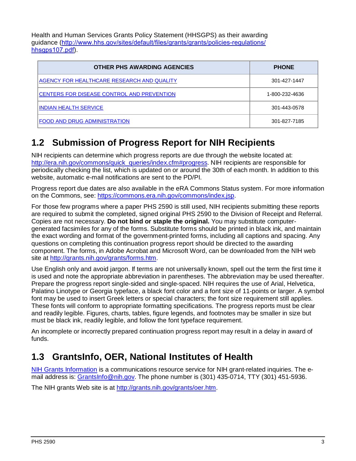Health and Human Services Grants Policy Statement (HHSGPS) as their awarding guidance ([http://www.hhs.gov/sites/default/files/grants/grants/policies-regulations/](http://www.hhs.gov/sites/default/files/grants/grants/policies-regulations/hhsgps107.pdf) hhsgps107.pdf).

| <b>OTHER PHS AWARDING AGENCIES</b>         | <b>PHONE</b>   |
|--------------------------------------------|----------------|
| AGENCY FOR HEALTHCARE RESEARCH AND QUALITY | 301-427-1447   |
| CENTERS FOR DISEASE CONTROL AND PREVENTION | 1-800-232-4636 |
| INDIAN HEALTH SERVICE                      | 301-443-0578   |
| FOOD AND DRUG ADMINISTRATION               | 301-827-7185   |

# <span id="page-5-0"></span>**1.2 Submission of Progress Report for NIH Recipients**

NIH recipients can determine which progress reports are due through the website located at: [http://era.nih.gov/commons/quick\\_queries/index.cfm#progress.](http://era.nih.gov/commons/quick_queries/index.cfm#progress) NIH recipients are responsible for periodically checking the list, which is updated on or around the 30th of each month. In addition to this website, automatic e-mail notifications are sent to the PD/PI.

Progress report due dates are also available in the eRA Commons Status system. For more information on the Commons, see: [https://commons.era.nih.gov/commons/index.jsp.](https://commons.era.nih.gov/commons/index.jsp)

For those few programs where a paper PHS 2590 is still used, NIH recipients submitting these reports are required to submit the completed, signed original PHS 2590 to the Division of Receipt and Referral. Copies are not necessary. **Do not bind or staple the original.** You may substitute computergenerated facsimiles for any of the forms. Substitute forms should be printed in black ink, and maintain the exact wording and format of the government-printed forms, including all captions and spacing. Any questions on completing this continuation progress report should be directed to the awarding component. The forms, in Adobe Acrobat and Microsoft Word, can be downloaded from the NIH web site at [http://grants.nih.gov/grants/forms.htm.](http://grants.nih.gov/grants/forms.htm)

Use English only and avoid jargon. If terms are not universally known, spell out the term the first time it is used and note the appropriate abbreviation in parentheses. The abbreviation may be used thereafter. Prepare the progress report single-sided and single-spaced. NIH requires the use of Arial, Helvetica, Palatino Linotype or Georgia typeface, a black font color and a font size of 11-points or larger. A symbol font may be used to insert Greek letters or special characters; the font size requirement still applies. These fonts will conform to appropriate formatting specifications. The progress reports must be clear and readily legible. Figures, charts, tables, figure legends, and footnotes may be smaller in size but must be black ink, readily legible, and follow the font typeface requirement.

An incomplete or incorrectly prepared continuation progress report may result in a delay in award of funds.

# <span id="page-5-1"></span>**1.3 GrantsInfo, OER, National Institutes of Health**

[NIH Grants Information](http://grants.nih.gov/grants/giwelcome.htm) is a communications resource service for NIH grant-related inquiries. The email address is: [GrantsInfo@nih.gov.](mailto:GrantsInfo@nih.gov) The phone number is (301) 435-0714, TTY (301) 451-5936.

The NIH grants Web site is at [http://grants.nih.gov/grants/oer.htm.](http://grants.nih.gov/grants/oer.htm)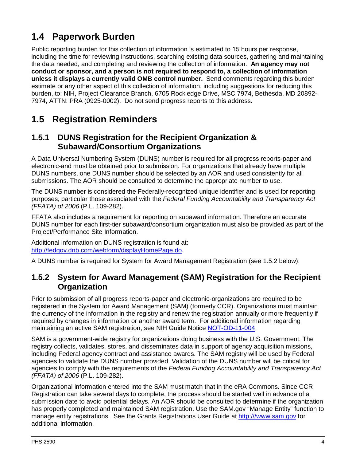# <span id="page-6-0"></span>**1.4 Paperwork Burden**

Public reporting burden for this collection of information is estimated to 15 hours per response, including the time for reviewing instructions, searching existing data sources, gathering and maintaining the data needed, and completing and reviewing the collection of information. **An agency may not conduct or sponsor, and a person is not required to respond to, a collection of information unless it displays a currently valid OMB control number.** Send comments regarding this burden estimate or any other aspect of this collection of information, including suggestions for reducing this burden, to: NIH, Project Clearance Branch, 6705 Rockledge Drive, MSC 7974, Bethesda, MD 20892- 7974, ATTN: PRA (0925-0002). Do not send progress reports to this address.

# <span id="page-6-1"></span>**1.5 Registration Reminders**

### <span id="page-6-2"></span>**1.5.1 DUNS Registration for the Recipient Organization & Subaward/Consortium Organizations**

A Data Universal Numbering System (DUNS) number is required for all progress reports-paper and electronic-and must be obtained prior to submission. For organizations that already have multiple DUNS numbers, one DUNS number should be selected by an AOR and used consistently for all submissions. The AOR should be consulted to determine the appropriate number to use.

The DUNS number is considered the Federally-recognized unique identifier and is used for reporting purposes, particular those associated with the *Federal Funding Accountability and Transparency Act (FFATA) of 2006* (P.L. 109-282).

FFATA also includes a requirement for reporting on subaward information. Therefore an accurate DUNS number for each first-tier subaward/consortium organization must also be provided as part of the Project/Performance Site Information.

Additional information on DUNS registration is found at: [http://fedgov.dnb.com/webform/displayHomePage.do.](http://fedgov.dnb.com/webform/displayHomePage.do)

A DUNS number is required for System for Award Management Registration (see 1.5.2 below).

### <span id="page-6-3"></span>**1.5.2 System for Award Management (SAM) Registration for the Recipient Organization**

Prior to submission of all progress reports-paper and electronic-organizations are required to be registered in the System for Award Management (SAM) (formerly CCR). Organizations must maintain the currency of the information in the registry and renew the registration annually or more frequently if required by changes in information or another award term. For additional information regarding maintaining an active SAM registration, see NIH Guide Notice [NOT-OD-11-004.](http://grants.nih.gov/grants/guide/notice-files/NOT-OD-11-004.html)

SAM is a government-wide registry for organizations doing business with the U.S. Government. The registry collects, validates, stores, and disseminates data in support of agency acquisition missions, including Federal agency contract and assistance awards. The SAM registry will be used by Federal agencies to validate the DUNS number provided. Validation of the DUNS number will be critical for agencies to comply with the requirements of the *Federal Funding Accountability and Transparency Act (FFATA) of 2006* (P.L. 109-282).

Organizational information entered into the SAM must match that in the eRA Commons. Since CCR Registration can take several days to complete, the process should be started well in advance of a submission date to avoid potential delays. An AOR should be consulted to determine if the organization has properly completed and maintained SAM registration. Use the SAM.gov "Manage Entity" function to manage entity registrations. See the Grants Registrations User Guide at [http:///www.sam.gov](http://www.sam.gov/) for additional information.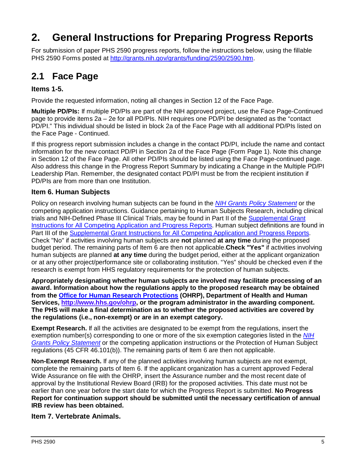# <span id="page-7-0"></span>**2. General Instructions for Preparing Progress Reports**

For submission of paper PHS 2590 progress reports, follow the instructions below, using the fillable PHS 2590 Forms posted at [http://grants.nih.gov/grants/funding/2590/2590.htm.](http://grants.nih.gov/grants/funding/2590/2590.htm)

# <span id="page-7-1"></span>**2.1 Face Page**

### <span id="page-7-2"></span>**Items 1-5.**

Provide the requested information, noting all changes in Section 12 of the Face Page.

**Multiple PD/PIs:** If multiple PD/PIs are part of the NIH approved project, use the Face Page-Continued page to provide items 2a – 2e for all PD/PIs. NIH requires one PD/PI be designated as the "contact PD/PI." This individual should be listed in block 2a of the Face Page with all additional PD/PIs listed on the Face Page - Continued.

If this progress report submission includes a change in the contact PD/PI, include the name and contact information for the new contact PD/PI in Section 2a of the Face Page (Form Page 1). Note this change in Section 12 of the Face Page. All other PD/PIs should be listed using the Face Page-continued page. Also address this change in the Progress Report Summary by indicating a Change in the Multiple PD/PI Leadership Plan. Remember, the designated contact PD/PI must be from the recipient institution if PD/PIs are from more than one Institution.

#### **Item 6. Human Subjects**

Policy on research involving human subjects can be found in the *[NIH Grants Policy Statement](http://grants.nih.gov/grants/policy/nihgps/index.htm)* or the competing application instructions. Guidance pertaining to Human Subjects Research, including clinical trials and NIH-Defined Phase III Clinical Trials, may be found in Part II of the [Supplemental Grant](https://grants.nih.gov/grants/how-to-apply-application-guide/forms-d/supplemental-instructions-forms-d.pdf)  [Instructions for All Competing Application and Progress Reports.](https://grants.nih.gov/grants/how-to-apply-application-guide/forms-d/supplemental-instructions-forms-d.pdf) Human subject definitions are found in Part III of the [Supplemental Grant Instructions for All Competing Application and Progress Reports.](https://grants.nih.gov/grants/how-to-apply-application-guide/forms-d/supplemental-instructions-forms-d.pdf) Check "No" if activities involving human subjects are **not** planned **at any time** during the proposed budget period. The remaining parts of Item 6 are then not applicable.**Check "Yes"** if activities involving human subjects are planned **at any time** during the budget period, either at the applicant organization or at any other project/performance site or collaborating institution. "Yes" should be checked even if the research is exempt from HHS regulatory requirements for the protection of human subjects.

**Appropriately designating whether human subjects are involved may facilitate processing of an award. Information about how the regulations apply to the proposed research may be obtained from the [Office for Human Research Protections](http://www.hhs.gov/ohrp) (OHRP), Department of Health and Human Services, [http://www.hhs.gov/ohrp,](http://www.hhs.gov/ohrp) or the program administrator in the awarding component. The PHS will make a final determination as to whether the proposed activities are covered by the regulations (i.e., non-exempt) or are in an exempt category.**

**Exempt Research.** If all the activities are designated to be exempt from the regulations, insert the exemption number(s) corresponding to one or more of the six exemption categories listed in the *[NIH](http://grants.nih.gov/grants/policy/nihgps/index.htm)  [Grants Policy Statement](http://grants.nih.gov/grants/policy/nihgps/index.htm)* or the competing application instructions or the Protection of Human Subject regulations (45 CFR 46.101(b)). The remaining parts of Item 6 are then not applicable.

**Non-Exempt Research.** If any of the planned activities involving human subjects are not exempt, complete the remaining parts of Item 6. If the applicant organization has a current approved Federal Wide Assurance on file with the OHRP, insert the Assurance number and the most recent date of approval by the Institutional Review Board (IRB) for the proposed activities. This date must not be earlier than one year before the start date for which the Progress Report is submitted. **No Progress Report for continuation support should be submitted until the necessary certification of annual IRB review has been obtained.**

### **Item 7. Vertebrate Animals.**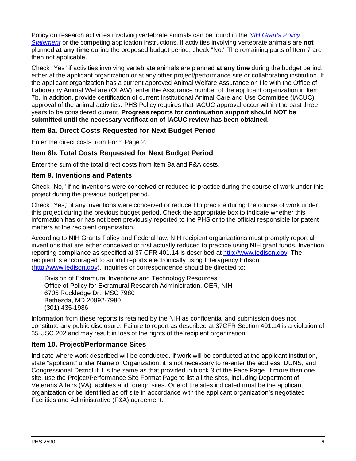Policy on research activities involving vertebrate animals can be found in the *[NIH Grants Policy](http://grants.nih.gov/grants/policy/nihgps/index.htm)  [Statement](http://grants.nih.gov/grants/policy/nihgps/index.htm)* or the competing application instructions. If activities involving vertebrate animals are **not** planned **at any time** during the proposed budget period, check "No." The remaining parts of Item 7 are then not applicable.

Check "Yes" if activities involving vertebrate animals are planned **at any time** during the budget period, either at the applicant organization or at any other project/performance site or collaborating institution. If the applicant organization has a current approved Animal Welfare Assurance on file with the Office of Laboratory Animal Welfare (OLAW), enter the Assurance number of the applicant organization in Item 7b. In addition, provide certification of current Institutional Animal Care and Use Committee (IACUC) approval of the animal activities. PHS Policy requires that IACUC approval occur within the past three years to be considered current. **Progress reports for continuation support should NOT be submitted until the necessary verification of IACUC review has been obtained**.

### **Item 8a. Direct Costs Requested for Next Budget Period**

Enter the direct costs from Form Page 2.

#### **Item 8b. Total Costs Requested for Next Budget Period**

Enter the sum of the total direct costs from Item 8a and F&A costs.

#### **Item 9. Inventions and Patents**

Check "No," if no inventions were conceived or reduced to practice during the course of work under this project during the previous budget period.

Check "Yes," if any inventions were conceived or reduced to practice during the course of work under this project during the previous budget period. Check the appropriate box to indicate whether this information has or has not been previously reported to the PHS or to the official responsible for patent matters at the recipient organization.

According to NIH Grants Policy and Federal law, NIH recipient organizations must promptly report all inventions that are either conceived or first actually reduced to practice using NIH grant funds. Invention reporting compliance as specified at 37 CFR 401.14 is described at [http://www.iedison.gov.](http://www.iedison.gov/) The recipient is encouraged to submit reports electronically using Interagency Edison [\(http://www.iedison.gov\)](http://www.iedison.gov/). Inquiries or correspondence should be directed to:

Division of Extramural Inventions and Technology Resources Office of Policy for Extramural Research Administration, OER, NIH 6705 Rockledge Dr., MSC 7980 Bethesda, MD 20892-7980 (301) 435-1986

Information from these reports is retained by the NIH as confidential and submission does not constitute any public disclosure. Failure to report as described at 37CFR Section 401.14 is a violation of 35 USC 202 and may result in loss of the rights of the recipient organization.

#### **Item 10. Project/Performance Sites**

Indicate where work described will be conducted. If work will be conducted at the applicant institution, state "applicant" under Name of Organization; it is not necessary to re-enter the address, DUNS, and Congressional District if it is the same as that provided in block 3 of the Face Page. If more than one site, use the Project/Performance Site Format Page to list all the sites, including Department of Veterans Affairs (VA) facilities and foreign sites. One of the sites indicated must be the applicant organization or be identified as off site in accordance with the applicant organization's negotiated Facilities and Administrative (F&A) agreement.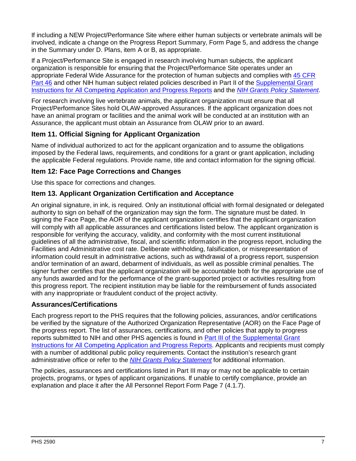If including a NEW Project/Performance Site where either human subjects or vertebrate animals will be involved, indicate a change on the Progress Report Summary, Form Page 5, and address the change in the Summary under D. Plans, item A or B, as appropriate.

If a Project/Performance Site is engaged in research involving human subjects, the applicant organization is responsible for ensuring that the Project/Performance Site operates under an appropriate Federal Wide Assurance for the protection of human subjects and complies with [45 CFR](http://www.hhs.gov/ohrp/humansubjects/guidance/45cfr46.html)  [Part 46](http://www.hhs.gov/ohrp/humansubjects/guidance/45cfr46.html) and other NIH human subject related policies described in Part II of the [Supplemental Grant](https://grants.nih.gov/grants/how-to-apply-application-guide/forms-d/supplemental-instructions-forms-d.pdf)  [Instructions for All Competing Application and Progress Reports](https://grants.nih.gov/grants/how-to-apply-application-guide/forms-d/supplemental-instructions-forms-d.pdf) and the *[NIH Grants Policy Statement](http://grants.nih.gov/grants/policy/nihgps/index.htm)*.

For research involving live vertebrate animals, the applicant organization must ensure that all Project/Performance Sites hold OLAW-approved Assurances. If the applicant organization does not have an animal program or facilities and the animal work will be conducted at an institution with an Assurance, the applicant must obtain an Assurance from OLAW prior to an award.

### **Item 11. Official Signing for Applicant Organization**

Name of individual authorized to act for the applicant organization and to assume the obligations imposed by the Federal laws, requirements, and conditions for a grant or grant application, including the applicable Federal regulations. Provide name, title and contact information for the signing official.

### **Item 12: Face Page Corrections and Changes**

Use this space for corrections and changes.

### **Item 13. Applicant Organization Certification and Acceptance**

An original signature, in ink, is required. Only an institutional official with formal designated or delegated authority to sign on behalf of the organization may sign the form. The signature must be dated. In signing the Face Page, the AOR of the applicant organization certifies that the applicant organization will comply with all applicable assurances and certifications listed below. The applicant organization is responsible for verifying the accuracy, validity, and conformity with the most current institutional guidelines of all the administrative, fiscal, and scientific information in the progress report, including the Facilities and Administrative cost rate. Deliberate withholding, falsification, or misrepresentation of information could result in administrative actions, such as withdrawal of a progress report, suspension and/or termination of an award, debarment of individuals, as well as possible criminal penalties. The signer further certifies that the applicant organization will be accountable both for the appropriate use of any funds awarded and for the performance of the grant-supported project or activities resulting from this progress report. The recipient institution may be liable for the reimbursement of funds associated with any inappropriate or fraudulent conduct of the project activity.

### **Assurances/Certifications**

Each progress report to the PHS requires that the following policies, assurances, and/or certifications be verified by the signature of the Authorized Organization Representative (AOR) on the Face Page of the progress report. The list of assurances, certifications, and other policies that apply to progress reports submitted to NIH and other PHS agencies is found in [Part III of the Supplemental Grant](https://grants.nih.gov/grants/how-to-apply-application-guide/forms-d/supplemental-instructions-forms-d.pdf#part_iii_policies_assurances)  [Instructions for All Competing Application and Progress Reports.](https://grants.nih.gov/grants/how-to-apply-application-guide/forms-d/supplemental-instructions-forms-d.pdf#part_iii_policies_assurances) Applicants and recipients must comply with a number of additional public policy requirements. Contact the institution's research grant administrative office or refer to the *[NIH Grants Policy Statement](http://grants.nih.gov/grants/policy/nihgps/index.htm)* for additional information.

The policies, assurances and certifications listed in Part III may or may not be applicable to certain projects, programs, or types of applicant organizations. If unable to certify compliance, provide an explanation and place it after the All Personnel Report Form Page 7 (4.1.7).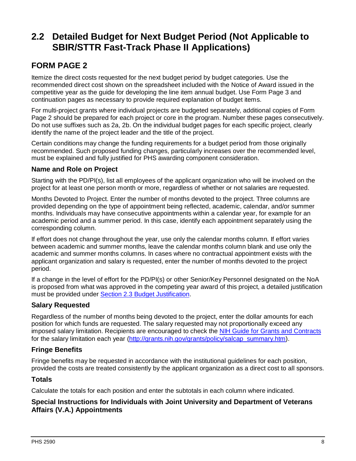# <span id="page-10-0"></span>**2.2 Detailed Budget for Next Budget Period (Not Applicable to SBIR/STTR Fast-Track Phase II Applications)**

### **FORM PAGE 2**

Itemize the direct costs requested for the next budget period by budget categories. Use the recommended direct cost shown on the spreadsheet included with the Notice of Award issued in the competitive year as the guide for developing the line item annual budget. Use Form Page 3 and continuation pages as necessary to provide required explanation of budget items.

For multi-project grants where individual projects are budgeted separately, additional copies of Form Page 2 should be prepared for each project or core in the program. Number these pages consecutively. Do not use suffixes such as 2a, 2b. On the individual budget pages for each specific project, clearly identify the name of the project leader and the title of the project.

Certain conditions may change the funding requirements for a budget period from those originally recommended. Such proposed funding changes, particularly increases over the recommended level, must be explained and fully justified for PHS awarding component consideration.

#### **Name and Role on Project**

Starting with the PD/PI(s), list all employees of the applicant organization who will be involved on the project for at least one person month or more, regardless of whether or not salaries are requested.

Months Devoted to Project. Enter the number of months devoted to the project. Three columns are provided depending on the type of appointment being reflected, academic, calendar, and/or summer months. Individuals may have consecutive appointments within a calendar year, for example for an academic period and a summer period. In this case, identify each appointment separately using the corresponding column.

If effort does not change throughout the year, use only the calendar months column. If effort varies between academic and summer months, leave the calendar months column blank and use only the academic and summer months columns. In cases where no contractual appointment exists with the applicant organization and salary is requested, enter the number of months devoted to the project period.

If a change in the level of effort for the PD/PI(s) or other Senior/Key Personnel designated on the NoA is proposed from what was approved in the competing year award of this project, a detailed justification must be provided under [Section 2.3 Budget Justification.](#page-12-0)

### **Salary Requested**

Regardless of the number of months being devoted to the project, enter the dollar amounts for each position for which funds are requested. The salary requested may not proportionally exceed any imposed salary limitation. Recipients are encouraged to check the [NIH Guide for Grants and Contracts](http://grants.nih.gov/grants/guide/index.html) for the salary limitation each year [\(http://grants.nih.gov/grants/policy/salcap\\_summary.htm\)](http://grants.nih.gov/grants/policy/salcap_summary.htm).

### **Fringe Benefits**

Fringe benefits may be requested in accordance with the institutional guidelines for each position, provided the costs are treated consistently by the applicant organization as a direct cost to all sponsors.

#### **Totals**

Calculate the totals for each position and enter the subtotals in each column where indicated.

#### **Special Instructions for Individuals with Joint University and Department of Veterans Affairs (V.A.) Appointments**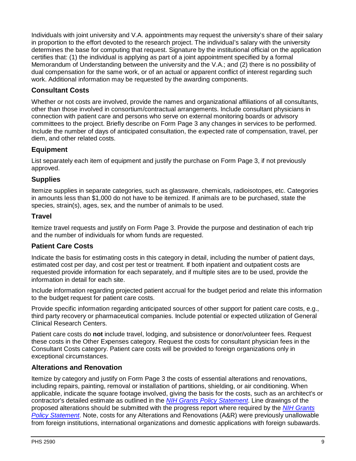Individuals with joint university and V.A. appointments may request the university's share of their salary in proportion to the effort devoted to the research project. The individual's salary with the university determines the base for computing that request. Signature by the institutional official on the application certifies that: (1) the individual is applying as part of a joint appointment specified by a formal Memorandum of Understanding between the university and the V.A.; and (2) there is no possibility of dual compensation for the same work, or of an actual or apparent conflict of interest regarding such work. Additional information may be requested by the awarding components.

### **Consultant Costs**

Whether or not costs are involved, provide the names and organizational affiliations of all consultants, other than those involved in consortium/contractual arrangements. Include consultant physicians in connection with patient care and persons who serve on external monitoring boards or advisory committees to the project. Briefly describe on Form Page 3 any changes in services to be performed. Include the number of days of anticipated consultation, the expected rate of compensation, travel, per diem, and other related costs.

### **Equipment**

List separately each item of equipment and justify the purchase on Form Page 3, if not previously approved.

#### **Supplies**

Itemize supplies in separate categories, such as glassware, chemicals, radioisotopes, etc. Categories in amounts less than \$1,000 do not have to be itemized. If animals are to be purchased, state the species, strain(s), ages, sex, and the number of animals to be used.

#### **Travel**

Itemize travel requests and justify on Form Page 3. Provide the purpose and destination of each trip and the number of individuals for whom funds are requested.

### **Patient Care Costs**

Indicate the basis for estimating costs in this category in detail, including the number of patient days, estimated cost per day, and cost per test or treatment. If both inpatient and outpatient costs are requested provide information for each separately, and if multiple sites are to be used, provide the information in detail for each site.

Include information regarding projected patient accrual for the budget period and relate this information to the budget request for patient care costs.

Provide specific information regarding anticipated sources of other support for patient care costs, e.g., third party recovery or pharmaceutical companies. Include potential or expected utilization of General Clinical Research Centers.

Patient care costs do **not** include travel, lodging, and subsistence or donor/volunteer fees. Request these costs in the Other Expenses category. Request the costs for consultant physician fees in the Consultant Costs category. Patient care costs will be provided to foreign organizations only in exceptional circumstances.

### **Alterations and Renovation**

Itemize by category and justify on Form Page 3 the costs of essential alterations and renovations, including repairs, painting, removal or installation of partitions, shielding, or air conditioning. When applicable, indicate the square footage involved, giving the basis for the costs, such as an architect's or contractor's detailed estimate as outlined in the *[NIH Grants Policy Statement](http://grants.nih.gov/grants/policy/nihgps/index.htm)*. Line drawings of the proposed alterations should be submitted with the progress report where required by the *[NIH Grants](http://grants.nih.gov/grants/policy/nihgps/index.htm)  [Policy Statement](http://grants.nih.gov/grants/policy/nihgps/index.htm)*. Note, costs for any Alterations and Renovations (A&R) were previously unallowable from foreign institutions, international organizations and domestic applications with foreign subawards.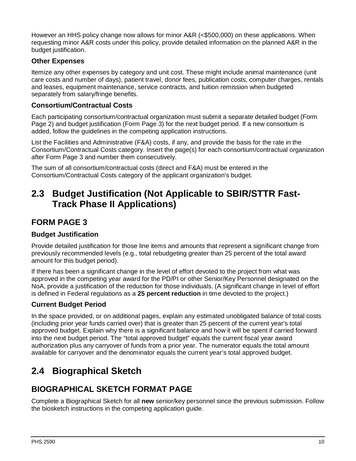However an HHS policy change now allows for minor A&R (<\$500,000) on these applications. When requesting minor A&R costs under this policy, provide detailed information on the planned A&R in the budget justification.

### **Other Expenses**

Itemize any other expenses by category and unit cost. These might include animal maintenance (unit care costs and number of days), patient travel, donor fees, publication costs, computer charges, rentals and leases, equipment maintenance, service contracts, and tuition remission when budgeted separately from salary/fringe benefits.

#### **Consortium/Contractual Costs**

Each participating consortium/contractual organization must submit a separate detailed budget (Form Page 2) and budget justification (Form Page 3) for the next budget period. If a new consortium is added, follow the guidelines in the competing application instructions.

List the Facilities and Administrative (F&A) costs, if any, and provide the basis for the rate in the Consortium/Contractual Costs category. Insert the page(s) for each consortium/contractual organization after Form Page 3 and number them consecutively.

The sum of all consortium/contractual costs (direct and F&A) must be entered in the Consortium/Contractual Costs category of the applicant organization's budget.

## <span id="page-12-0"></span>**2.3 Budget Justification (Not Applicable to SBIR/STTR Fast-Track Phase II Applications)**

### **FORM PAGE 3**

#### **Budget Justification**

Provide detailed justification for those line items and amounts that represent a significant change from previously recommended levels (e.g., total rebudgeting greater than 25 percent of the total award amount for this budget period).

If there has been a significant change in the level of effort devoted to the project from what was approved in the competing year award for the PD/PI or other Senior/Key Personnel designated on the NoA, provide a justification of the reduction for those individuals. (A significant change in level of effort is defined in Federal regulations as a **25 percent reduction** in time devoted to the project.)

### **Current Budget Period**

In the space provided, or on additional pages, explain any estimated unobligated balance of total costs (including prior year funds carried over) that is greater than 25 percent of the current year's total approved budget. Explain why there is a significant balance and how it will be spent if carried forward into the next budget period. The "total approved budget" equals the current fiscal year award authorization plus any carryover of funds from a prior year. The numerator equals the total amount available for carryover and the denominator equals the current year's total approved budget.

# <span id="page-12-1"></span>**2.4 Biographical Sketch**

### **BIOGRAPHICAL SKETCH FORMAT PAGE**

Complete a Biographical Sketch for all **new** senior/key personnel since the previous submission. Follow the biosketch instructions in the competing application guide.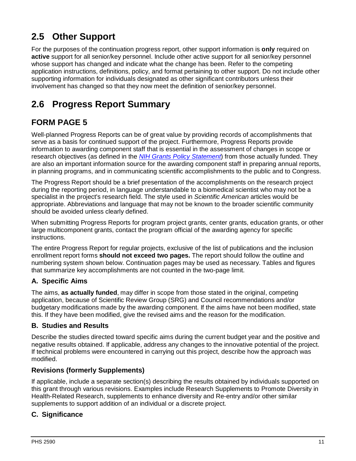# <span id="page-13-0"></span>**2.5 Other Support**

For the purposes of the continuation progress report, other support information is **only** required on **active** support for all senior/key personnel. Include other active support for all senior/key personnel whose support has changed and indicate what the change has been. Refer to the competing application instructions, definitions, policy, and format pertaining to other support. Do not include other supporting information for individuals designated as other significant contributors unless their involvement has changed so that they now meet the definition of senior/key personnel.

# <span id="page-13-1"></span>**2.6 Progress Report Summary**

## **FORM PAGE 5**

Well-planned Progress Reports can be of great value by providing records of accomplishments that serve as a basis for continued support of the project. Furthermore, Progress Reports provide information to awarding component staff that is essential in the assessment of changes in scope or research objectives (as defined in the *[NIH Grants Policy Statement](http://grants.nih.gov/grants/policy/nihgps/index.htm)*) from those actually funded. They are also an important information source for the awarding component staff in preparing annual reports, in planning programs, and in communicating scientific accomplishments to the public and to Congress.

The Progress Report should be a brief presentation of the accomplishments on the research project during the reporting period, in language understandable to a biomedical scientist who may not be a specialist in the project's research field. The style used in *Scientific American* articles would be appropriate. Abbreviations and language that may not be known to the broader scientific community should be avoided unless clearly defined.

When submitting Progress Reports for program project grants, center grants, education grants, or other large multicomponent grants, contact the program official of the awarding agency for specific instructions.

The entire Progress Report for regular projects, exclusive of the list of publications and the inclusion enrollment report forms **should not exceed two pages.** The report should follow the outline and numbering system shown below. Continuation pages may be used as necessary. Tables and figures that summarize key accomplishments are not counted in the two-page limit.

### **A. Specific Aims**

The aims, **as actually funded**, may differ in scope from those stated in the original, competing application, because of Scientific Review Group (SRG) and Council recommendations and/or budgetary modifications made by the awarding component. If the aims have not been modified, state this. If they have been modified, give the revised aims and the reason for the modification.

### **B. Studies and Results**

Describe the studies directed toward specific aims during the current budget year and the positive and negative results obtained. If applicable, address any changes to the innovative potential of the project. If technical problems were encountered in carrying out this project, describe how the approach was modified.

### **Revisions (formerly Supplements)**

If applicable, include a separate section(s) describing the results obtained by individuals supported on this grant through various revisions. Examples include Research Supplements to Promote Diversity in Health-Related Research, supplements to enhance diversity and Re-entry and/or other similar supplements to support addition of an individual or a discrete project.

### **C. Significance**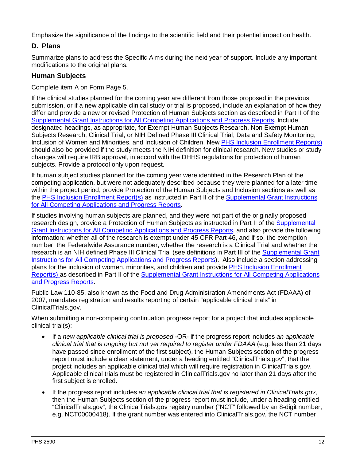Emphasize the significance of the findings to the scientific field and their potential impact on health.

### <span id="page-14-0"></span>**D. Plans**

Summarize plans to address the Specific Aims during the next year of support. Include any important modifications to the original plans.

### **Human Subjects**

Complete item A on Form Page 5.

If the clinical studies planned for the coming year are different from those proposed in the previous submission, or if a new applicable clinical study or trial is proposed, include an explanation of how they differ and provide a new or revised Protection of Human Subjects section as described in Part II of the Supplemental [Grant Instructions for All Competing Applications and Progress Reports.](https://grants.nih.gov/grants/how-to-apply-application-guide/forms-d/supplemental-instructions-forms-d.pdf) Include designated headings, as appropriate, for Exempt Human Subjects Research, Non Exempt Human Subjects Research, Clinical Trial, or NIH Defined Phase III Clinical Trial, Data and Safety Monitoring, Inclusion of Women and Minorities, and Inclusion of Children. New PHS [Inclusion Enrollment Report\(s\)](http://grants.nih.gov/grants/forms/inclusion-enrollment-report.pdf) should also be provided if the study meets the NIH definition for clinical research. New studies or study changes will require IRB approval, in accord with the DHHS regulations for protection of human subjects. Provide a protocol only upon request.

If human subject studies planned for the coming year were identified in the Research Plan of the competing application, but were not adequately described because they were planned for a later time within the project period, provide Protection of the Human Subjects and Inclusion sections as well as the PHS Inclusion [Enrollment Report\(s\)](http://grants.nih.gov/grants/forms/inclusion-enrollment-report.pdf) as instructed in Part II of the Supplemental [Grant Instructions](https://grants.nih.gov/grants/how-to-apply-application-guide/forms-d/supplemental-instructions-forms-d.pdf)  [for All Competing Applications and Progress Reports.](https://grants.nih.gov/grants/how-to-apply-application-guide/forms-d/supplemental-instructions-forms-d.pdf)

If studies involving human subjects are planned, and they were not part of the originally proposed research design, provide a Protection of Human Subjects as instructed in Part II of the [Supplemental](https://grants.nih.gov/grants/how-to-apply-application-guide/forms-d/supplemental-instructions-forms-d.pdf) [Grant Instructions for All Competing Applications and Progress Reports,](https://grants.nih.gov/grants/how-to-apply-application-guide/forms-d/supplemental-instructions-forms-d.pdf) and also provide the following information: whether all of the research is exempt under 45 CFR Part 46, and if so, the exemption number, the Federalwide Assurance number, whether the research is a Clinical Trial and whether the research is an NIH defined Phase III Clinical Trial (see definitions in Part III of the [Supplemental](https://grants.nih.gov/grants/how-to-apply-application-guide/forms-d/supplemental-instructions-forms-d.pdf) Grant [Instructions for All Competing Applications and Progress Reports\)](https://grants.nih.gov/grants/how-to-apply-application-guide/forms-d/supplemental-instructions-forms-d.pdf). Also include a section addressing plans for the inclusion of women, minorities, and children and provide [PHS Inclusion](http://grants.nih.gov/grants/forms/inclusion-enrollment-report.pdf) Enrollment [Report\(s\)](http://grants.nih.gov/grants/forms/inclusion-enrollment-report.pdf) as described in Part II of the Supplemental [Grant Instructions for All Competing Applications](https://grants.nih.gov/grants/how-to-apply-application-guide/forms-d/supplemental-instructions-forms-d.pdf)  [and Progress Reports.](https://grants.nih.gov/grants/how-to-apply-application-guide/forms-d/supplemental-instructions-forms-d.pdf)

Public Law 110-85, also known as the Food and Drug Administration Amendments Act (FDAAA) of 2007, mandates registration and results reporting of certain "applicable clinical trials" in ClinicalTrials.gov.

When submitting a non-competing continuation progress report for a project that includes applicable clinical trial(s):

- If a *new applicable clinical trial is proposed* -OR- if the progress report includes *an applicable clinical trial that is ongoing but not yet required to register under FDAAA* (e.g. less than 21 days have passed since enrollment of the first subject), the Human Subjects section of the progress report must include a clear statement, under a heading entitled "ClinicalTrials.gov", that the project includes an applicable clinical trial which will require registration in ClinicalTrials.gov. Applicable clinical trials must be registered in ClinicalTrials.gov no later than 21 days after the first subject is enrolled.
- If the progress report includes *an applicable clinical trial that is registered in ClinicalTrials.gov*, then the Human Subjects section of the progress report must include, under a heading entitled "ClinicalTrials.gov", the ClinicalTrials.gov registry number ("NCT" followed by an 8-digit number, e.g. NCT00000418). If the grant number was entered into ClinicalTrials.gov, the NCT number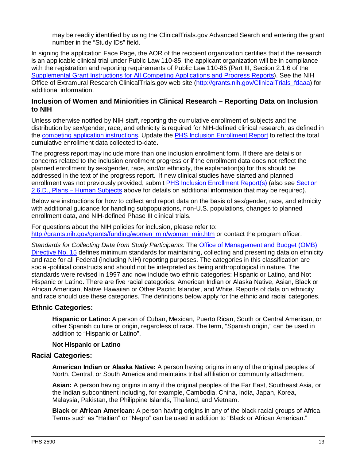may be readily identified by using the ClinicalTrials.gov Advanced Search and entering the grant number in the "Study IDs" field.

In signing the application Face Page, the AOR of the recipient organization certifies that if the research is an applicable clinical trial under Public Law 110-85, the applicant organization will be in compliance with the registration and reporting requirements of Public Law 110-85 (Part III, Section 2.1.6 of the Supplemental [Grant Instructions for All Competing Applications and Progress Reports\)](https://grants.nih.gov/grants/how-to-apply-application-guide/forms-d/supplemental-instructions-forms-d.pdf). See the NIH Office of Extramural Research ClinicalTrials.gov web site [\(http://grants.nih.gov/ClinicalTrials\\_fdaaa\)](http://grants.nih.gov/ClinicalTrials_fdaaa) for additional information.

#### **Inclusion of Women and Miniorities in Clinical Research – Reporting Data on Inclusion to NIH**

Unless otherwise notified by NIH staff, reporting the cumulative enrollment of subjects and the distribution by sex/gender, race, and ethnicity is required for NIH-defined clinical research, as defined in the [competing application instructions.](http://grants.nih.gov/grants/funding/424/index.htm) Update the [PHS Inclusion Enrollment Report](http://grants.nih.gov/grants/forms/inclusion-enrollment-report.pdf) to reflect the total cumulative enrollment data collected to-date**.** 

The progress report may include more than one inclusion enrollment form. If there are details or concerns related to the inclusion enrollment progress or if the enrollment data does not reflect the planned enrollment by sex/gender, race, and/or ethnicity, the explanation(s) for this should be addressed in the text of the progress report. If new clinical studies have started and planned enrollment was not previously provided, submit PHS Inclusion [Enrollment Report\(s\)](http://grants.nih.gov/grants/forms/inclusion-enrollment-report.pdf) (also see [Section](#page-14-0)  2.6.D., Plans – [Human Subjects](#page-14-0) above for details on additional information that may be required).

Below are instructions for how to collect and report data on the basis of sex/gender, race, and ethnicity with additional guidance for handling subpopulations, non-U.S. populations, changes to planned enrollment data, and NIH-defined Phase III clinical trials.

For questions about the NIH policies for inclusion, please refer to: [http://grants.nih.gov/grants/funding/women\\_min/women\\_min.htm](http://grants.nih.gov/grants/funding/women_min/women_min.htm) or contact the program officer.

*Standards for Collecting Data from Study Participants:* The [Office of Management and Budget \(OMB\)](http://www.whitehouse.gov/omb/fedreg_1997standards)  [Directive No. 15](http://www.whitehouse.gov/omb/fedreg_1997standards) defines minimum standards for maintaining, collecting and presenting data on ethnicity and race for all Federal (including NIH) reporting purposes. The categories in this classification are social-political constructs and should not be interpreted as being anthropological in nature. The standards were revised in 1997 and now include two ethnic categories: Hispanic or Latino, and Not Hispanic or Latino. There are five racial categories: American Indian or Alaska Native, Asian, Black or African American, Native Hawaiian or Other Pacific Islander, and White. Reports of data on ethnicity and race should use these categories. The definitions below apply for the ethnic and racial categories.

#### **Ethnic Categories:**

**Hispanic or Latino:** A person of Cuban, Mexican, Puerto Rican, South or Central American, or other Spanish culture or origin, regardless of race. The term, "Spanish origin," can be used in addition to "Hispanic or Latino".

#### **Not Hispanic or Latino**

#### **Racial Categories:**

**American Indian or Alaska Native:** A person having origins in any of the original peoples of North, Central, or South America and maintains tribal affiliation or community attachment.

**Asian:** A person having origins in any if the original peoples of the Far East, Southeast Asia, or the Indian subcontinent including, for example, Cambodia, China, India, Japan, Korea, Malaysia, Pakistan, the Philippine Islands, Thailand, and Vietnam.

**Black or African American:** A person having origins in any of the black racial groups of Africa. Terms such as "Haitian" or "Negro" can be used in addition to "Black or African American."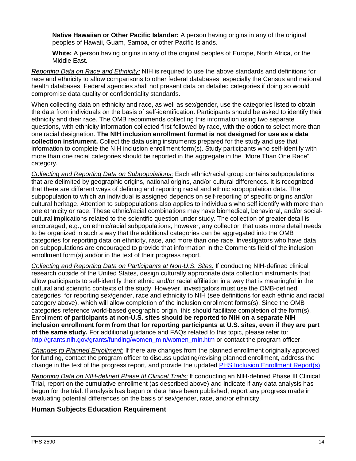**Native Hawaiian or Other Pacific Islander:** A person having origins in any of the original peoples of Hawaii, Guam, Samoa, or other Pacific Islands.

**White:** A person having origins in any of the original peoples of Europe, North Africa, or the Middle East.

*Reporting Data on Race and Ethnicity:* NIH is required to use the above standards and definitions for race and ethnicity to allow comparisons to other federal databases, especially the Census and national health databases. Federal agencies shall not present data on detailed categories if doing so would compromise data quality or confidentiality standards.

When collecting data on ethnicity and race, as well as sex/gender, use the categories listed to obtain the data from individuals on the basis of self-identification. Participants should be asked to identify their ethnicity and their race. The OMB recommends collecting this information using two separate questions, with ethnicity information collected first followed by race, with the option to select more than one racial designation. **The NIH inclusion enrollment format is not designed for use as a data collection instrument.** Collect the data using instruments prepared for the study and use that information to complete the NIH inclusion enrollment form(s). Study participants who self-identify with more than one racial categories should be reported in the aggregate in the "More Than One Race" category.

*Collecting and Reporting Data on Subpopulations:* Each ethnic/racial group contains subpopulations that are delimited by geographic origins, national origins, and/or cultural differences. It is recognized that there are different ways of defining and reporting racial and ethnic subpopulation data. The subpopulation to which an individual is assigned depends on self-reporting of specific origins and/or cultural heritage. Attention to subpopulations also applies to individuals who self identify with more than one ethnicity or race. These ethnic/racial combinations may have biomedical, behavioral, and/or socialcultural implications related to the scientific question under study. The collection of greater detail is encouraged, e.g., on ethnic/racial subpopulations; however, any collection that uses more detail needs to be organized in such a way that the additional categories can be aggregated into the OMB categories for reporting data on ethnicity, race, and more than one race. Investigators who have data on subpopulations are encouraged to provide that information in the Comments field of the inclusion enrollment form(s) and/or in the text of their progress report.

*Collecting and Reporting Data on Participants at Non-U.S. Sites:* If conducting NIH-defined clinical research outside of the United States, design culturally appropriate data collection instruments that allow participants to self-identify their ethnic and/or racial affiliation in a way that is meaningful in the cultural and scientific contexts of the study. However, investigators must use the OMB-defined categories for reporting sex/gender, race and ethnicity to NIH (see definitions for each ethnic and racial category above), which will allow completion of the inclusion enrollment forms(s). Since the OMB categories reference world-based geographic origin, this should facilitate completion of the form(s). Enrollment **of participants at non-U.S. sites should be reported to NIH on a separate NIH inclusion enrollment form from that for reporting participants at U.S. sites, even if they are part of the same study.** For additional guidance and FAQs related to this topic, please refer to: [http://grants.nih.gov/grants/funding/women\\_min/women\\_min.htm](http://grants.nih.gov/grants/funding/women_min/women_min.htm) or contact the program officer.

*Changes to Planned Enrollment:* If there are changes from the planned enrollment originally approved for funding, contact the program officer to discuss updating/revising planned enrollment, address the change in the text of the progress report, and provide the updated PHS Inclusion [Enrollment Report\(s\).](http://grants.nih.gov/grants/forms/inclusion-enrollment-report.pdf)

*Reporting Data on NIH-defined Phase III Clinical Trials:* If conducting an NIH-defined Phase III Clinical Trial, report on the cumulative enrollment (as described above) and indicate if any data analysis has begun for the trial. If analysis has begun or data have been published, report any progress made in evaluating potential differences on the basis of sex/gender, race, and/or ethnicity.

### **Human Subjects Education Requirement**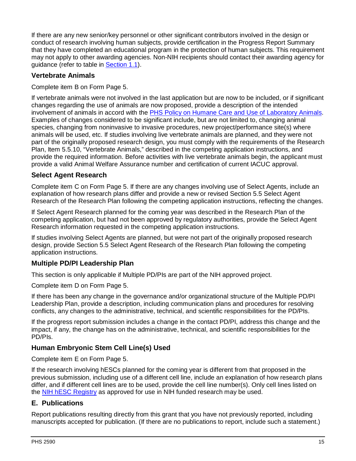If there are any new senior/key personnel or other significant contributors involved in the design or conduct of research involving human subjects, provide certification in the Progress Report Summary that they have completed an educational program in the protection of human subjects. This requirement may not apply to other awarding agencies. Non-NIH recipients should contact their awarding agency for guidance (refer to table in [Section 1.1\)](#page-4-1).

### **Vertebrate Animals**

Complete item B on Form Page 5.

If vertebrate animals were not involved in the last application but are now to be included, or if significant changes regarding the use of animals are now proposed, provide a description of the intended involvement of animals in accord with the [PHS Policy on Humane Care and Use of Laboratory Animals.](http://grants.nih.gov/grants/olaw/olaw.htm) Examples of changes considered to be significant include, but are not limited to, changing animal species, changing from noninvasive to invasive procedures, new project/performance site(s) where animals will be used, etc. If studies involving live vertebrate animals are planned, and they were not part of the originally proposed research design, you must comply with the requirements of the Research Plan, Item 5.5.10, "Vertebrate Animals," described in the competing application instructions, and provide the required information. Before activities with live vertebrate animals begin, the applicant must provide a valid Animal Welfare Assurance number and certification of current IACUC approval.

### **Select Agent Research**

Complete item C on Form Page 5. If there are any changes involving use of Select Agents, include an explanation of how research plans differ and provide a new or revised Section 5.5 Select Agent Research of the Research Plan following the competing application instructions, reflecting the changes.

If Select Agent Research planned for the coming year was described in the Research Plan of the competing application, but had not been approved by regulatory authorities, provide the Select Agent Research information requested in the competing application instructions.

If studies involving Select Agents are planned, but were not part of the originally proposed research design, provide Section 5.5 Select Agent Research of the Research Plan following the competing application instructions.

### **Multiple PD/PI Leadership Plan**

This section is only applicable if Multiple PD/PIs are part of the NIH approved project.

Complete item D on Form Page 5.

If there has been any change in the governance and/or organizational structure of the Multiple PD/PI Leadership Plan, provide a description, including communication plans and procedures for resolving conflicts, any changes to the administrative, technical, and scientific responsibilities for the PD/PIs.

If the progress report submission includes a change in the contact PD/PI, address this change and the impact, if any, the change has on the administrative, technical, and scientific responsibilities for the PD/PIs.

### **Human Embryonic Stem Cell Line(s) Used**

Complete item E on Form Page 5.

If the research involving hESCs planned for the coming year is different from that proposed in the previous submission, including use of a different cell line, include an explanation of how research plans differ, and if different cell lines are to be used, provide the cell line number(s). Only cell lines listed on the [NIH hESC Registry](http://grants.nih.gov/stem_cells/registry/current.htm) as approved for use in NIH funded research may be used.

### <span id="page-17-0"></span>**E. Publications**

Report publications resulting directly from this grant that you have not previously reported, including manuscripts accepted for publication. (If there are no publications to report, include such a statement.)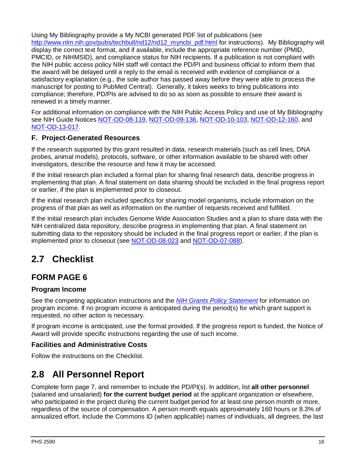Using My Bibliography provide a My NCBI generated PDF list of publications (see [http://www.nlm.nih.gov/pubs/techbull/nd12/nd12\\_myncbi\\_pdf.html](http://www.nlm.nih.gov/pubs/techbull/nd12/nd12_myncbi_pdf.html) for instructions). My Bibliography will display the correct text format, and if available, include the appropriate reference number (PMID, PMCID, or NIHMSID), and compliance status for NIH recipients. If a publication is not compliant with the NIH public access policy NIH staff will contact the PD/PI and business official to inform them that the award will be delayed until a reply to the email is received with evidence of compliance or a satisfactory explanation (e.g., the sole author has passed away before they were able to process the manuscript for posting to PubMed Central). Generally, it takes weeks to bring publications into compliance; therefore, PD/PIs are advised to do so as soon as possible to ensure their award is renewed in a timely manner.

For additional information on compliance with the NIH Public Access Policy and use of My Bibliography see NIH Guide Notices [NOT-OD-08-119,](http://grants.nih.gov/grants/guide/notice-files/NOT-OD-08-119.html) [NOT-OD-09-136,](http://grants.nih.gov/grants/guide/notice-files/NOT-OD-09-136.html) [NOT-OD-10-103,](http://grants.nih.gov/grants/guide/notice-files/NOT-OD-10-103.html) [NOT-OD-12-160,](http://grants.nih.gov/grants/guide/notice-files/NOT-OD-12-160.html) and [NOT-OD-13-017.](http://grants.nih.gov/grants/guide/notice-files/NOT-OD-13-017.html)

### **F. Project-Generated Resources**

If the research supported by this grant resulted in data, research materials (such as cell lines, DNA probes, animal models), protocols, software, or other information available to be shared with other investigators, describe the resource and how it may be accessed.

If the initial research plan included a formal plan for sharing final research data, describe progress in implementing that plan. A final statement on data sharing should be included in the final progress report or earlier, if the plan is implemented prior to closeout.

If the initial research plan included specifics for sharing model organisms, include information on the progress of that plan as well as information on the number of requests received and fulfilled.

If the initial research plan includes Genome Wide Association Studies and a plan to share data with the NIH centralized data repository, describe progress in implementing that plan. A final statement on submitting data to the repository should be included in the final progress report or earlier, if the plan is implemented prior to closeout (see [NOT-OD-08-023](http://grants.nih.gov/grants/guide/notice-files/NOT-OD-08-023.html) and [NOT-OD-07-088\)](http://grants.nih.gov/grants/guide/notice-files/NOT-OD-07-088.html).

# <span id="page-18-0"></span>**2.7 Checklist**

## **FORM PAGE 6**

### **Program Income**

See the competing application instructions and the *[NIH Grants Policy Statement](http://grants.nih.gov/grants/policy/nihgps/index.htm)* for information on program income. If no program income is anticipated during the period(s) for which grant support is requested, no other action is necessary.

If program income is anticipated, use the format provided. If the progress report is funded, the Notice of Award will provide specific instructions regarding the use of such income.

### **Facilities and Administrative Costs**

Follow the instructions on the Checklist.

# <span id="page-18-1"></span>**2.8 All Personnel Report**

Complete form page 7, and remember to include the PD/PI(s). In addition, list **all other personnel** (salaried and unsalaried) **for the current budget period** at the applicant organization or elsewhere, who participated in the project during the current budget period for at least one person month or more, regardless of the source of compensation. A person month equals approximately 160 hours or 8.3% of annualized effort. Include the Commons ID (when applicable) names of individuals, all degrees, the last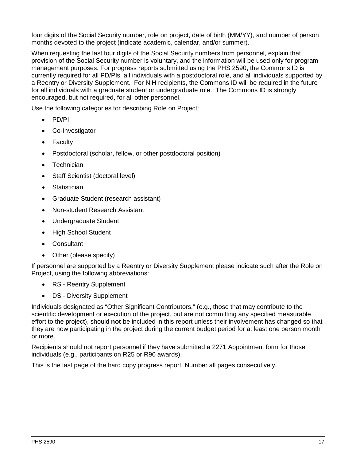four digits of the Social Security number, role on project, date of birth (MM/YY), and number of person months devoted to the project (indicate academic, calendar, and/or summer).

When requesting the last four digits of the Social Security numbers from personnel, explain that provision of the Social Security number is voluntary, and the information will be used only for program management purposes. For progress reports submitted using the PHS 2590, the Commons ID is currently required for all PD/PIs, all individuals with a postdoctoral role, and all individuals supported by a Reentry or Diversity Supplement. For NIH recipients, the Commons ID will be required in the future for all individuals with a graduate student or undergraduate role. The Commons ID is strongly encouraged, but not required, for all other personnel.

Use the following categories for describing Role on Project:

- PD/PI
- Co-Investigator
- **Faculty**
- Postdoctoral (scholar, fellow, or other postdoctoral position)
- **Technician**
- Staff Scientist (doctoral level)
- Statistician
- Graduate Student (research assistant)
- Non-student Research Assistant
- Undergraduate Student
- High School Student
- Consultant
- Other (please specify)

If personnel are supported by a Reentry or Diversity Supplement please indicate such after the Role on Project, using the following abbreviations:

- RS Reentry Supplement
- DS Diversity Supplement

Individuals designated as "Other Significant Contributors," (e.g., those that may contribute to the scientific development or execution of the project, but are not committing any specified measurable effort to the project), should **not** be included in this report unless their involvement has changed so that they are now participating in the project during the current budget period for at least one person month or more.

Recipients should not report personnel if they have submitted a 2271 Appointment form for those individuals (e.g., participants on R25 or R90 awards).

This is the last page of the hard copy progress report. Number all pages consecutively.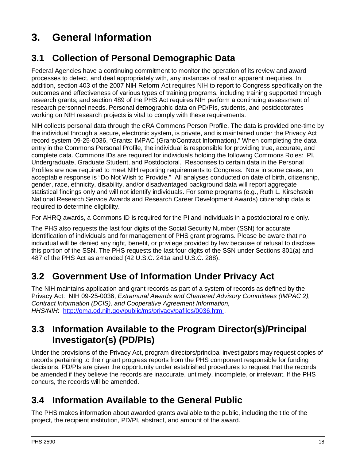# <span id="page-20-0"></span>**3. General Information**

# <span id="page-20-1"></span>**3.1 Collection of Personal Demographic Data**

Federal Agencies have a continuing commitment to monitor the operation of its review and award processes to detect, and deal appropriately with, any instances of real or apparent inequities. In addition, section 403 of the 2007 NIH Reform Act requires NIH to report to Congress specifically on the outcomes and effectiveness of various types of training programs, including training supported through research grants; and section 489 of the PHS Act requires NIH perform a continuing assessment of research personnel needs. Personal demographic data on PD/PIs, students, and postdoctorates working on NIH research projects is vital to comply with these requirements.

NIH collects personal data through the eRA Commons Person Profile. The data is provided one-time by the individual through a secure, electronic system, is private, and is maintained under the Privacy Act record system 09-25-0036, "Grants: IMPAC (Grant/Contract Information)." When completing the data entry in the Commons Personal Profile, the individual is responsible for providing true, accurate, and complete data. Commons IDs are required for individuals holding the following Commons Roles: PI, Undergraduate, Graduate Student, and Postdoctoral. Responses to certain data in the Personal Profiles are now required to meet NIH reporting requirements to Congress. Note in some cases, an acceptable response is "Do Not Wish to Provide." All analyses conducted on date of birth, citizenship, gender, race, ethnicity, disability, and/or disadvantaged background data will report aggregate statistical findings only and will not identify individuals. For some programs (e.g., Ruth L. Kirschstein National Research Service Awards and Research Career Development Awards) citizenship data is required to determine eligibility.

For AHRQ awards, a Commons ID is required for the PI and individuals in a postdoctoral role only.

The PHS also requests the last four digits of the Social Security Number (SSN) for accurate identification of individuals and for management of PHS grant programs. Please be aware that no individual will be denied any right, benefit, or privilege provided by law because of refusal to disclose this portion of the SSN. The PHS requests the last four digits of the SSN under Sections 301(a) and 487 of the PHS Act as amended (42 U.S.C. 241a and U.S.C. 288).

# <span id="page-20-2"></span>**3.2 Government Use of Information Under Privacy Act**

The NIH maintains application and grant records as part of a system of records as defined by the Privacy Act: NIH 09-25-0036, *Extramural Awards and Chartered Advisory Committees (IMPAC 2), Contract Information (DCIS), and Cooperative Agreement Information, HHS/NIH*: [http://oma.od.nih.gov/public/ms/privacy/pafiles/0036.htm .](http://oma.od.nih.gov/public/ms/privacy/pafiles/0036.htm)

# <span id="page-20-3"></span>**3.3 Information Available to the Program Director(s)/Principal Investigator(s) (PD/PIs)**

Under the provisions of the Privacy Act, program directors/principal investigators may request copies of records pertaining to their grant progress reports from the PHS component responsible for funding decisions. PD/PIs are given the opportunity under established procedures to request that the records be amended if they believe the records are inaccurate, untimely, incomplete, or irrelevant. If the PHS concurs, the records will be amended.

# <span id="page-20-4"></span>**3.4 Information Available to the General Public**

The PHS makes information about awarded grants available to the public, including the title of the project, the recipient institution, PD/PI, abstract, and amount of the award.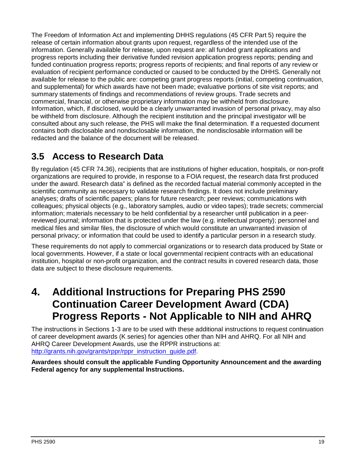The Freedom of Information Act and implementing DHHS regulations (45 CFR Part 5) require the release of certain information about grants upon request, regardless of the intended use of the information. Generally available for release, upon request are: all funded grant applications and progress reports including their derivative funded revision application progress reports; pending and funded continuation progress reports; progress reports of recipients; and final reports of any review or evaluation of recipient performance conducted or caused to be conducted by the DHHS. Generally not available for release to the public are: competing grant progress reports (initial, competing continuation, and supplemental) for which awards have not been made; evaluative portions of site visit reports; and summary statements of findings and recommendations of review groups. Trade secrets and commercial, financial, or otherwise proprietary information may be withheld from disclosure. Information, which, if disclosed, would be a clearly unwarranted invasion of personal privacy, may also be withheld from disclosure. Although the recipient institution and the principal investigator will be consulted about any such release, the PHS will make the final determination. If a requested document contains both disclosable and nondisclosable information, the nondisclosable information will be redacted and the balance of the document will be released.

# <span id="page-21-0"></span>**3.5 Access to Research Data**

By regulation (45 CFR 74.36), recipients that are institutions of higher education, hospitals, or non-profit organizations are required to provide, in response to a FOIA request, the research data first produced under the award. Research data" is defined as the recorded factual material commonly accepted in the scientific community as necessary to validate research findings. It does not include preliminary analyses; drafts of scientific papers; plans for future research; peer reviews; communications with colleagues; physical objects (e.g., laboratory samples, audio or video tapes); trade secrets; commercial information; materials necessary to be held confidential by a researcher until publication in a peerreviewed journal; information that is protected under the law (e.g. intellectual property); personnel and medical files and similar files, the disclosure of which would constitute an unwarranted invasion of personal privacy; or information that could be used to identify a particular person in a research study.

These requirements do not apply to commercial organizations or to research data produced by State or local governments. However, if a state or local governmental recipient contracts with an educational institution, hospital or non-profit organization, and the contract results in covered research data, those data are subject to these disclosure requirements.

# <span id="page-21-1"></span>**4. Additional Instructions for Preparing PHS 2590 Continuation Career Development Award (CDA) Progress Reports - Not Applicable to NIH and AHRQ**

The instructions in Sections 1-3 are to be used with these additional instructions to request continuation of career development awards (K series) for agencies other than NIH and AHRQ. For all NIH and AHRQ Career Development Awards, use the RPPR instructions at: [http://grants.nih.gov/grants/rppr/rppr\\_instruction\\_guide.pdf.](http://grants.nih.gov/grants/rppr/rppr_instruction_guide.pdf)

**Awardees should consult the applicable Funding Opportunity Announcement and the awarding Federal agency for any supplemental Instructions.**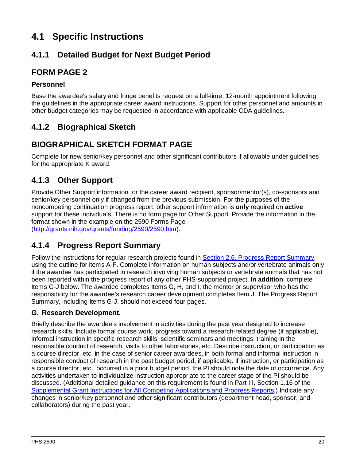# <span id="page-22-0"></span>**4.1 Specific Instructions**

### <span id="page-22-1"></span>**4.1.1 Detailed Budget for Next Budget Period**

### **FORM PAGE 2**

### **Personnel**

Base the awardee's salary and fringe benefits request on a full-time, 12-month appointment following the guidelines in the appropriate career award instructions. Support for other personnel and amounts in other budget categories may be requested in accordance with applicable CDA guidelines.

### <span id="page-22-2"></span>**4.1.2 Biographical Sketch**

## **BIOGRAPHICAL SKETCH FORMAT PAGE**

Complete for new senior/key personnel and other significant contributors if allowable under guidelines for the appropriate K award.

## <span id="page-22-3"></span>**4.1.3 Other Support**

Provide Other Support information for the career award recipient, sponsor/mentor(s), co-sponsors and senior/key personnel only if changed from the previous submission. For the purposes of the noncompeting continuation progress report, other support information is **only** required on **active** support for these individuals. There is no form page for Other Support. Provide the information in the format shown in the example on the 2590 Forms Page [\(http://grants.nih.gov/grants/funding/2590/2590.htm\)](http://grants.nih.gov/grants/funding/2590/2590.htm).

## <span id="page-22-4"></span>**4.1.4 Progress Report Summary**

Follow the instructions for regular research projects found in [Section 2.6, Progress Report Summary,](#page-13-1) using the outline for items A-F. Complete information on human subjects and/or vertebrate animals only if the awardee has participated in research involving human subjects or vertebrate animals that has not been reported within the progress report of any other PHS-supported project. **In addition**, complete Items G-J below. The awardee completes Items G, H, and I; the mentor or supervisor who has the responsibility for the awardee's research career development completes Item J. The Progress Report Summary, including Items G-J, should not exceed four pages.

### **G. Research Development.**

Briefly describe the awardee's involvement in activities during the past year designed to increase research skills. Include formal course work, progress toward a research-related degree (if applicable), informal instruction in specific research skills, scientific seminars and meetings, training in the responsible conduct of research, visits to other laboratories, etc. Describe instruction, or participation as a course director, etc. in the case of senior career awardees, in both formal and informal instruction in responsible conduct of research in the past budget period, if applicable. If instruction, or participation as a course director, etc., occurred in a prior budget period, the PI should note the date of occurrence. Any activities undertaken to individualize instruction appropriate to the career stage of the PI should be discussed. (Additional detailed guidance on this requirement is found in Part III, Section 1.16 of the Supplemental [Grant Instructions for All Competing Applications and Progress Reports.](https://grants.nih.gov/grants/how-to-apply-application-guide/forms-d/supplemental-instructions-forms-d.pdf)) Indicate any changes in senior/key personnel and other significant contributors (department head, sponsor, and collaborators) during the past year.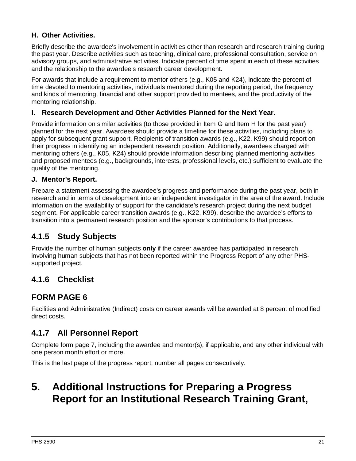### **H. Other Activities.**

Briefly describe the awardee's involvement in activities other than research and research training during the past year. Describe activities such as teaching, clinical care, professional consultation, service on advisory groups, and administrative activities. Indicate percent of time spent in each of these activities and the relationship to the awardee's research career development.

For awards that include a requirement to mentor others (e.g., K05 and K24), indicate the percent of time devoted to mentoring activities, individuals mentored during the reporting period, the frequency and kinds of mentoring, financial and other support provided to mentees, and the productivity of the mentoring relationship.

### **I. Research Development and Other Activities Planned for the Next Year.**

Provide information on similar activities (to those provided in Item G and Item H for the past year) planned for the next year. Awardees should provide a timeline for these activities, including plans to apply for subsequent grant support. Recipients of transition awards (e.g., K22, K99) should report on their progress in identifying an independent research position. Additionally, awardees charged with mentoring others (e.g., K05, K24) should provide information describing planned mentoring activities and proposed mentees (e.g., backgrounds, interests, professional levels, etc.) sufficient to evaluate the quality of the mentoring.

#### **J. Mentor's Report.**

Prepare a statement assessing the awardee's progress and performance during the past year, both in research and in terms of development into an independent investigator in the area of the award. Include information on the availability of support for the candidate's research project during the next budget segment. For applicable career transition awards (e.g., K22, K99), describe the awardee's efforts to transition into a permanent research position and the sponsor's contributions to that process.

### <span id="page-23-0"></span>**4.1.5 Study Subjects**

Provide the number of human subjects **only** if the career awardee has participated in research involving human subjects that has not been reported within the Progress Report of any other PHSsupported project.

### <span id="page-23-1"></span>**4.1.6 Checklist**

### **FORM PAGE 6**

Facilities and Administrative (Indirect) costs on career awards will be awarded at 8 percent of modified direct costs.

### <span id="page-23-2"></span>**4.1.7 All Personnel Report**

Complete form page 7, including the awardee and mentor(s), if applicable, and any other individual with one person month effort or more.

<span id="page-23-3"></span>This is the last page of the progress report; number all pages consecutively.

# **5. Additional Instructions for Preparing a Progress Report for an Institutional Research Training Grant,**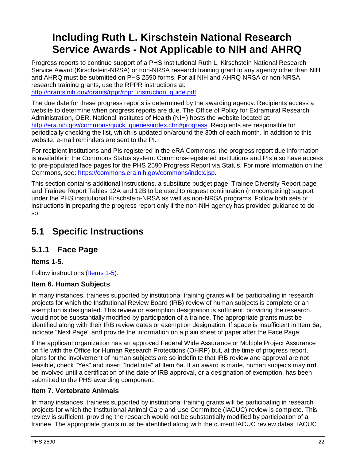# **Including Ruth L. Kirschstein National Research Service Awards - Not Applicable to NIH and AHRQ**

Progress reports to continue support of a PHS Institutional Ruth L. Kirschstein National Research Service Award (Kirschstein-NRSA) or non-NRSA research training grant to any agency other than NIH and AHRQ must be submitted on PHS 2590 forms. For all NIH and AHRQ NRSA or non-NRSA research training grants, use the RPPR instructions at: http://grants.nih.gov/grants/rppr/rppr\_instruction\_guide.pdf

The due date for these progress reports is determined by the awarding agency. Recipients access a website to determine when progress reports are due. The Office of Policy for Extramural Research Administration, OER, National Institutes of Health (NIH) hosts the website located at: [http://era.nih.gov/commons/quick\\_queries/index.cfm#progress.](http://era.nih.gov/commons/quick_queries/index.cfm%23progress) Recipients are responsible for periodically checking the list, which is updated on/around the 30th of each month. In addition to this website, e-mail reminders are sent to the PI.

For recipient institutions and PIs registered in the eRA Commons, the progress report due information is available in the Commons Status system. Commons-registered institutions and PIs also have access to pre-populated face pages for the PHS 2590 Progress Report via Status. For more information on the Commons, see: [https://commons.era.nih.gov/commons/index.jsp.](https://commons.era.nih.gov/commons/index.jsp)

This section contains additional instructions, a substitute budget page, Trainee Diversity Report page and Trainee Report Tables 12A and 12B to be used to request continuation (noncompeting) support under the PHS institutional Kirschstein-NRSA as well as non-NRSA programs. Follow both sets of instructions in preparing the progress report only if the non-NIH agency has provided guidance to do so.

# <span id="page-24-0"></span>**5.1 Specific Instructions**

## <span id="page-24-1"></span>**5.1.1 Face Page**

**Items 1-5.** 

Follow instructions [\(Items 1-5\)](#page-7-2).

### **Item 6. Human Subjects**

In many instances, trainees supported by institutional training grants will be participating in research projects for which the Institutional Review Board (IRB) review of human subjects is complete or an exemption is designated. This review or exemption designation is sufficient, providing the research would not be substantially modified by participation of a trainee. The appropriate grants must be identified along with their IRB review dates or exemption designation. If space is insufficient in Item 6a, indicate "Next Page" and provide the information on a plain sheet of paper after the Face Page.

If the applicant organization has an approved Federal Wide Assurance or Multiple Project Assurance on file with the Office for Human Research Protections (OHRP) but, at the time of progress report, plans for the involvement of human subjects are so indefinite that IRB review and approval are not feasible, check "Yes" and insert "Indefinite" at Item 6a. If an award is made, human subjects may **not** be involved until a certification of the date of IRB approval, or a designation of exemption, has been submitted to the PHS awarding component.

### **Item 7. Vertebrate Animals**

In many instances, trainees supported by institutional training grants will be participating in research projects for which the Institutional Animal Care and Use Committee (IACUC) review is complete. This review is sufficient, providing the research would not be substantially modified by participation of a trainee. The appropriate grants must be identified along with the current IACUC review dates. IACUC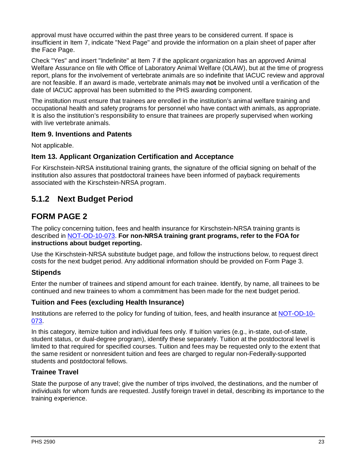approval must have occurred within the past three years to be considered current. If space is insufficient in Item 7, indicate "Next Page" and provide the information on a plain sheet of paper after the Face Page.

Check "Yes" and insert "Indefinite" at Item 7 if the applicant organization has an approved Animal Welfare Assurance on file with Office of Laboratory Animal Welfare (OLAW), but at the time of progress report, plans for the involvement of vertebrate animals are so indefinite that IACUC review and approval are not feasible. If an award is made, vertebrate animals may **not** be involved until a verification of the date of IACUC approval has been submitted to the PHS awarding component.

The institution must ensure that trainees are enrolled in the institution's animal welfare training and occupational health and safety programs for personnel who have contact with animals, as appropriate. It is also the institution's responsibility to ensure that trainees are properly supervised when working with live vertebrate animals.

#### **Item 9. Inventions and Patents**

Not applicable.

### **Item 13. Applicant Organization Certification and Acceptance**

For Kirschstein-NRSA institutional training grants, the signature of the official signing on behalf of the institution also assures that postdoctoral trainees have been informed of payback requirements associated with the Kirschstein-NRSA program.

### <span id="page-25-0"></span>**5.1.2 Next Budget Period**

### **FORM PAGE 2**

The policy concerning tuition, fees and health insurance for Kirschstein-NRSA training grants is described in [NOT-OD-10-073.](http://grants.nih.gov/grants/guide/notice-files/NOT-OD-10-073.html) **For non-NRSA training grant programs, refer to the FOA for instructions about budget reporting.**

Use the Kirschstein-NRSA substitute budget page, and follow the instructions below, to request direct costs for the next budget period. Any additional information should be provided on Form Page 3.

### **Stipends**

Enter the number of trainees and stipend amount for each trainee. Identify, by name, all trainees to be continued and new trainees to whom a commitment has been made for the next budget period.

### **Tuition and Fees (excluding Health Insurance)**

Institutions are referred to the policy for funding of tuition, fees, and health insurance at [NOT-OD-10-](http://grants.nih.gov/grants/guide/notice-files/NOT-OD-10-073.html) [073.](http://grants.nih.gov/grants/guide/notice-files/NOT-OD-10-073.html)

In this category, itemize tuition and individual fees only. If tuition varies (e.g., in-state, out-of-state, student status, or dual-degree program), identify these separately. Tuition at the postdoctoral level is limited to that required for specified courses. Tuition and fees may be requested only to the extent that the same resident or nonresident tuition and fees are charged to regular non-Federally-supported students and postdoctoral fellows.

### **Trainee Travel**

State the purpose of any travel; give the number of trips involved, the destinations, and the number of individuals for whom funds are requested. Justify foreign travel in detail, describing its importance to the training experience.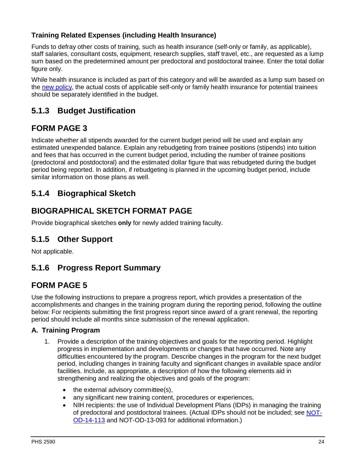### **Training Related Expenses (including Health Insurance)**

Funds to defray other costs of training, such as health insurance (self-only or family, as applicable), staff salaries, consultant costs, equipment, research supplies, staff travel, etc., are requested as a lump sum based on the predetermined amount per predoctoral and postdoctoral trainee. Enter the total dollar figure only.

While health insurance is included as part of this category and will be awarded as a lump sum based on the [new policy,](http://grants.nih.gov/grants/guide/notice-files/NOT-OD-06-093.html) the actual costs of applicable self-only or family health insurance for potential trainees should be separately identified in the budget.

### <span id="page-26-0"></span>**5.1.3 Budget Justification**

### **FORM PAGE 3**

Indicate whether all stipends awarded for the current budget period will be used and explain any estimated unexpended balance. Explain any rebudgeting from trainee positions (stipends) into tuition and fees that has occurred in the current budget period, including the number of trainee positions (predoctoral and postdoctoral) and the estimated dollar figure that was rebudgeted during the budget period being reported. In addition, if rebudgeting is planned in the upcoming budget period, include similar information on those plans as well.

### <span id="page-26-1"></span>**5.1.4 Biographical Sketch**

### **BIOGRAPHICAL SKETCH FORMAT PAGE**

Provide biographical sketches **only** for newly added training faculty.

### <span id="page-26-2"></span>**5.1.5 Other Support**

Not applicable.

### <span id="page-26-3"></span>**5.1.6 Progress Report Summary**

### **FORM PAGE 5**

Use the following instructions to prepare a progress report, which provides a presentation of the accomplishments and changes in the training program during the reporting period, following the outline below: For recipients submitting the first progress report since award of a grant renewal, the reporting period should include all months since submission of the renewal application.

#### **A. Training Program**

- 1. Provide a description of the training objectives and goals for the reporting period. Highlight progress in implementation and developments or changes that have occurred. Note any difficulties encountered by the program. Describe changes in the program for the next budget period, including changes in training faculty and significant changes in available space and/or facilities. Include, as appropriate, a description of how the following elements aid in strengthening and realizing the objectives and goals of the program:
	- the external advisory committee(s),
	- any significant new training content, procedures or experiences,
	- NIH recipients: the use of Individual Development Plans (IDPs) in managing the training of predoctoral and postdoctoral trainees. (Actual IDPs should not be included; see [NOT-](http://grants.nih.gov/grants/guide/notice-files/NOT-OD-14-113.html)[OD-14-113](http://grants.nih.gov/grants/guide/notice-files/NOT-OD-14-113.html) and [NOT-OD-13-093](http://grants.nih.gov/grants/guide/notice-files/NOT-OD-13-093.html) for additional information.)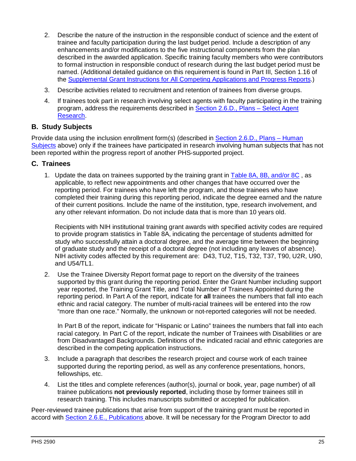- 2. Describe the nature of the instruction in the responsible conduct of science and the extent of trainee and faculty participation during the last budget period. Include a description of any enhancements and/or modifications to the five instructional components from the plan described in the awarded application. Specific training faculty members who were contributors to formal instruction in responsible conduct of research during the last budget period must be named. (Additional detailed guidance on this requirement is found in Part III, Section 1.16 of the Supplemental [Grant Instructions for All Competing Applications and Progress Reports.](https://grants.nih.gov/grants/how-to-apply-application-guide/forms-d/supplemental-instructions-forms-d.pdf))
- 3. Describe activities related to recruitment and retention of trainees from diverse groups.
- 4. If trainees took part in research involving select agents with faculty participating in the training program, address the requirements described in [Section 2.6.D., Plans – Select Agent](#page-14-0) [Research.](#page-14-0)

#### **B. Study Subjects**

Provide data using the inclusion enrollment form(s) (described in [Section 2.6.D., Plans – Human](#page-14-0)  [Subjects](#page-14-0) above) only if the trainees have participated in research involving human subjects that has not been reported within the progress report of another PHS-supported project.

#### **C. Trainees**

1. Update the data on trainees supported by the training grant in Table 8A, 8B, and/or 8C, as applicable, to reflect new appointments and other changes that have occurred over the reporting period. For trainees who have left the program, and those trainees who have completed their training during this reporting period, indicate the degree earned and the nature of their current positions. Include the name of the institution, type, research involvement, and any other relevant information. Do not include data that is more than 10 years old.

Recipients with NIH institutional training grant awards with specified activity codes are required to provide program statistics in Table 8A, indicating the percentage of students admitted for study who successfully attain a doctoral degree, and the average time between the beginning of graduate study and the receipt of a doctoral degree (not including any leaves of absence). NIH activity codes affected by this requirement are: D43, TU2, T15, T32, T37, T90, U2R, U90, and U54/TL1.

2. Use the Trainee Diversity Report format page to report on the diversity of the trainees supported by this grant during the reporting period. Enter the Grant Number including support year reported, the Training Grant Title, and Total Number of Trainees Appointed during the reporting period. In Part A of the report, indicate for **all** trainees the numbers that fall into each ethnic and racial category. The number of multi-racial trainees will be entered into the row "more than one race." Normally, the unknown or not-reported categories will not be needed.

In Part B of the report, indicate for "Hispanic or Latino" trainees the numbers that fall into each racial category. In Part C of the report, indicate the number of Trainees with Disabilities or are from Disadvantaged Backgrounds. Definitions of the indicated racial and ethnic categories are described in the competing application instructions.

- 3. Include a paragraph that describes the research project and course work of each trainee supported during the reporting period, as well as any conference presentations, honors, fellowships, etc.
- 4. List the titles and complete references (author(s), journal or book, year, page number) of all trainee publications **not previously reported**, including those by former trainees still in research training. This includes manuscripts submitted or accepted for publication.

Peer-reviewed trainee publications that arise from support of the training grant must be reported in accord with [Section 2.6.E., Publications a](#page-17-0)bove. It will be necessary for the Program Director to add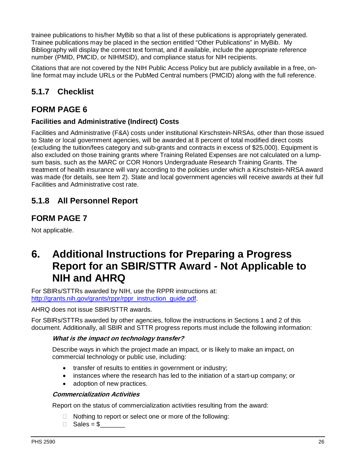trainee publications to his/her MyBib so that a list of these publications is appropriately generated. Trainee publications may be placed in the section entitled "Other Publications" in MyBib. My Bibliography will display the correct text format, and if available, include the appropriate reference number (PMID, PMCID, or NIHMSID), and compliance status for NIH recipients.

Citations that are not covered by the NIH Public Access Policy but are publicly available in a free, online format may include URLs or the PubMed Central numbers (PMCID) along with the full reference.

## <span id="page-28-0"></span>**5.1.7 Checklist**

### **FORM PAGE 6**

### **Facilities and Administrative (Indirect) Costs**

Facilities and Administrative (F&A) costs under institutional Kirschstein-NRSAs, other than those issued to State or local government agencies, will be awarded at 8 percent of total modified direct costs (excluding the tuition/fees category and sub-grants and contracts in excess of \$25,000). Equipment is also excluded on those training grants where Training Related Expenses are not calculated on a lumpsum basis, such as the MARC or COR Honors Undergraduate Research Training Grants. The treatment of health insurance will vary according to the policies under which a Kirschstein-NRSA award was made (for details, see Item 2). State and local government agencies will receive awards at their full Facilities and Administrative cost rate.

### <span id="page-28-1"></span>**5.1.8 All Personnel Report**

### **FORM PAGE 7**

<span id="page-28-2"></span>Not applicable.

# **6. Additional Instructions for Preparing a Progress Report for an SBIR/STTR Award - Not Applicable to NIH and AHRQ**

For SBIRs/STTRs awarded by NIH, use the RPPR instructions at: [http://grants.nih.gov/grants/rppr/rppr\\_instruction\\_guide.pdf.](http://grants.nih.gov/grants/rppr/rppr_instruction_guide.pdf)

AHRQ does not issue SBIR/STTR awards.

For SBIRs/STTRs awarded by other agencies, follow the instructions in Sections 1 and 2 of this document. Additionally, all SBIR and STTR progress reports must include the following information:

#### **What is the impact on technology transfer?**

Describe ways in which the project made an impact, or is likely to make an impact, on commercial technology or public use, including:

- transfer of results to entities in government or industry;
- instances where the research has led to the initiation of a start-up company; or
- adoption of new practices.

#### **Commercialization Activities**

Report on the status of commercialization activities resulting from the award:

- $\Box$  Nothing to report or select one or more of the following:
- $\Box$  Sales = \$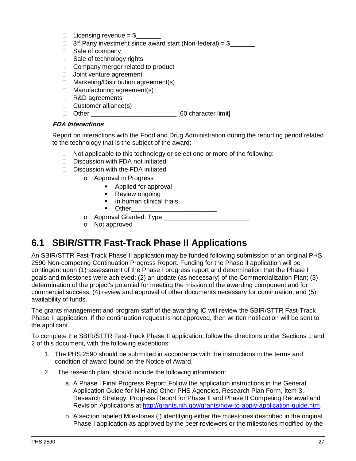- Licensing revenue =  $$$
- $\Box$  3<sup>rd</sup> Party investment since award start (Non-federal) = \$
- $\Box$  Sale of company
- $\Box$  Sale of technology rights
- □ Company merger related to product
- **Joint venture agreement**
- $\Box$  Marketing/Distribution agreement(s)
- □ Manufacturing agreement(s)
- □ R&D agreements
- $\Box$  Customer alliance(s)
- □ Other \_\_\_\_\_\_\_\_\_\_\_\_\_\_\_\_\_\_\_\_\_\_\_\_\_\_\_\_\_\_\_\_ [60 character limit]

#### **FDA Interactions**

Report on interactions with the Food and Drug Administration during the reporting period related to the technology that is the subject of the award:

- $\Box$  Not applicable to this technology or select one or more of the following:
- $\Box$  Discussion with FDA not initiated
- $\Box$  Discussion with the FDA initiated
	- o Approval in Progress
		- **Applied for approval**
		- Review ongoing
		- In human clinical trials
		- $\blacksquare$  Other
	- o Approval Granted: Type \_\_\_\_\_\_\_\_\_\_\_\_\_\_\_\_\_\_\_\_\_\_\_\_
	- o Not approved

# <span id="page-29-0"></span>**6.1 SBIR/STTR Fast-Track Phase II Applications**

An SBIR/STTR Fast-Track Phase II application may be funded following submission of an original PHS 2590 Non-competing Continuation Progress Report. Funding for the Phase II application will be contingent upon (1) assessment of the Phase I progress report and determination that the Phase I goals and milestones were achieved; (2) an update (as necessary) of the Commercialization Plan; (3) determination of the project's potential for meeting the mission of the awarding component and for commercial success; (4) review and approval of other documents necessary for continuation; and (5) availability of funds.

The grants management and program staff of the awarding IC will review the SBIR/STTR Fast-Track Phase II application. If the continuation request is not approved, then written notification will be sent to the applicant.

To complete the SBIR/STTR Fast-Track Phase II application, follow the directions under Sections 1 and 2 of this document, with the following exceptions:

- 1. The PHS 2590 should be submitted in accordance with the instructions in the terms and condition of award found on the Notice of Award.
- 2. The research plan, should include the following information:
	- a. A Phase I Final Progress Report: Follow the application instructions in the General Application Guide for NIH and Other PHS Agencies, Research Plan Form, Item 3, Research Strategy, Progress Report for Phase II and Phase II Competing Renewal and Revision Applications at [http://grants.nih.gov/grants/how-to-apply-application-guide.htm.](http://grants.nih.gov/grants/how-to-apply-application-guide.htm)
	- b. A section labeled Milestones (l) identifying either the milestones described in the original Phase I application as approved by the peer reviewers or the milestones modified by the